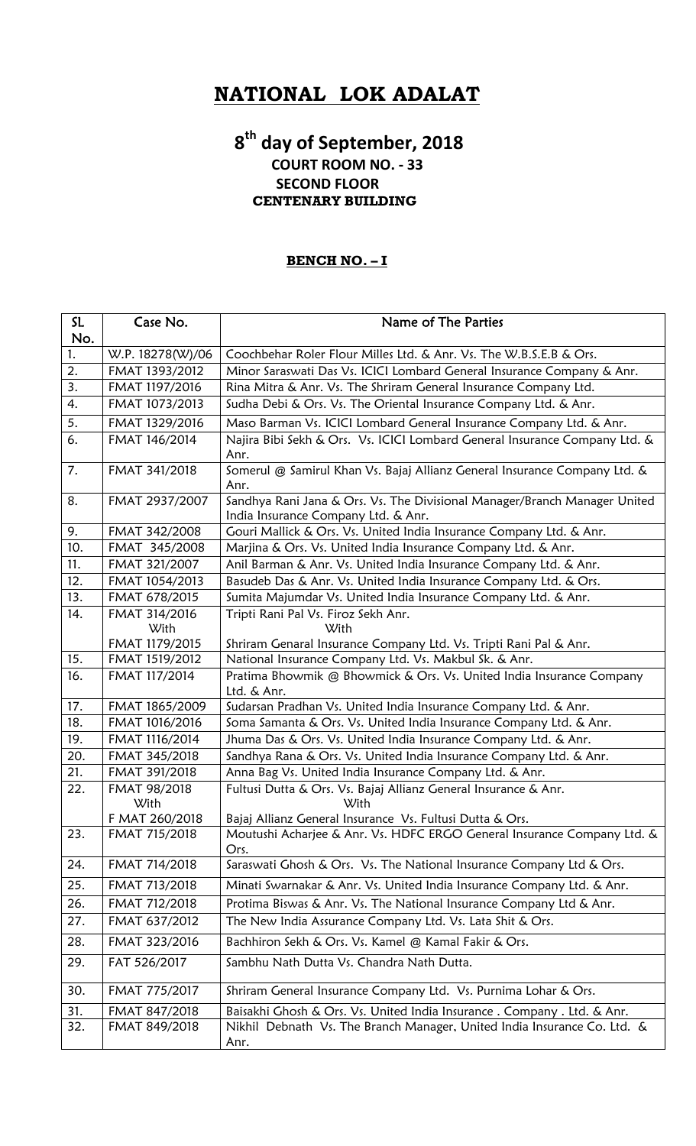# **NATIONAL LOK ADALAT**

### **8th day of September, 2018 COURT ROOM NO. ‐ 33 SECOND FLOOR CENTENARY BUILDING**

#### **BENCH NO. – I**

| SL  | Case No.             | Name of The Parties                                                                                              |
|-----|----------------------|------------------------------------------------------------------------------------------------------------------|
| No. |                      |                                                                                                                  |
| 1.  | W.P. 18278(W)/06     | Coochbehar Roler Flour Milles Ltd. & Anr. Vs. The W.B.S.E.B & Ors.                                               |
| 2.  | FMAT 1393/2012       | Minor Saraswati Das Vs. ICICI Lombard General Insurance Company & Anr.                                           |
| 3.  | FMAT 1197/2016       | Rina Mitra & Anr. Vs. The Shriram General Insurance Company Ltd.                                                 |
| 4.  | FMAT 1073/2013       | Sudha Debi & Ors. Vs. The Oriental Insurance Company Ltd. & Anr.                                                 |
| 5.  | FMAT 1329/2016       | Maso Barman Vs. ICICI Lombard General Insurance Company Ltd. & Anr.                                              |
| 6.  | FMAT 146/2014        | Najira Bibi Sekh & Ors. Vs. ICICI Lombard General Insurance Company Ltd. &<br>Anr.                               |
| 7.  | FMAT 341/2018        | Somerul @ Samirul Khan Vs. Bajaj Allianz General Insurance Company Ltd. &<br>Anr.                                |
| 8.  | FMAT 2937/2007       | Sandhya Rani Jana & Ors. Vs. The Divisional Manager/Branch Manager United<br>India Insurance Company Ltd. & Anr. |
| 9.  | FMAT 342/2008        | Gouri Mallick & Ors. Vs. United India Insurance Company Ltd. & Anr.                                              |
| 10. | FMAT 345/2008        | Marjina & Ors. Vs. United India Insurance Company Ltd. & Anr.                                                    |
| 11. | FMAT 321/2007        | Anil Barman & Anr. Vs. United India Insurance Company Ltd. & Anr.                                                |
| 12. | FMAT 1054/2013       | Basudeb Das & Anr. Vs. United India Insurance Company Ltd. & Ors.                                                |
| 13. | FMAT 678/2015        | Sumita Majumdar Vs. United India Insurance Company Ltd. & Anr.                                                   |
| 14. | FMAT 314/2016        | Tripti Rani Pal Vs. Firoz Sekh Anr.                                                                              |
|     | With                 | With                                                                                                             |
|     | FMAT 1179/2015       | Shriram Genaral Insurance Company Ltd. Vs. Tripti Rani Pal & Anr.                                                |
| 15. | FMAT 1519/2012       | National Insurance Company Ltd. Vs. Makbul Sk. & Anr.                                                            |
| 16. | FMAT 117/2014        | Pratima Bhowmik @ Bhowmick & Ors. Vs. United India Insurance Company<br>Ltd. & Anr.                              |
| 17. | FMAT 1865/2009       | Sudarsan Pradhan Vs. United India Insurance Company Ltd. & Anr.                                                  |
| 18. | FMAT 1016/2016       | Soma Samanta & Ors. Vs. United India Insurance Company Ltd. & Anr.                                               |
| 19. | FMAT 1116/2014       | Jhuma Das & Ors. Vs. United India Insurance Company Ltd. & Anr.                                                  |
| 20. | FMAT 345/2018        | Sandhya Rana & Ors. Vs. United India Insurance Company Ltd. & Anr.                                               |
| 21. | FMAT 391/2018        | Anna Bag Vs. United India Insurance Company Ltd. & Anr.                                                          |
| 22. | FMAT 98/2018<br>With | Fultusi Dutta & Ors. Vs. Bajaj Allianz General Insurance & Anr.<br>With                                          |
|     | F MAT 260/2018       | Bajaj Allianz General Insurance Vs. Fultusi Dutta & Ors.                                                         |
| 23. | FMAT 715/2018        | Moutushi Acharjee & Anr. Vs. HDFC ERGO General Insurance Company Ltd. &<br>Ors.                                  |
| 24. | FMAT 714/2018        | Saraswati Ghosh & Ors. Vs. The National Insurance Company Ltd & Ors.                                             |
| 25. | FMAT 713/2018        | Minati Swarnakar & Anr. Vs. United India Insurance Company Ltd. & Anr.                                           |
| 26. | FMAT 712/2018        | Protima Biswas & Anr. Vs. The National Insurance Company Ltd & Anr.                                              |
| 27. | FMAT 637/2012        | The New India Assurance Company Ltd. Vs. Lata Shit & Ors.                                                        |
| 28. | FMAT 323/2016        | Bachhiron Sekh & Ors. Vs. Kamel @ Kamal Fakir & Ors.                                                             |
| 29. | FAT 526/2017         | Sambhu Nath Dutta Vs. Chandra Nath Dutta.                                                                        |
| 30. | FMAT 775/2017        | Shriram General Insurance Company Ltd. Vs. Purnima Lohar & Ors.                                                  |
| 31. | FMAT 847/2018        | Baisakhi Ghosh & Ors. Vs. United India Insurance. Company. Ltd. & Anr.                                           |
| 32. | FMAT 849/2018        | Nikhil Debnath Vs. The Branch Manager, United India Insurance Co. Ltd. &<br>Anr.                                 |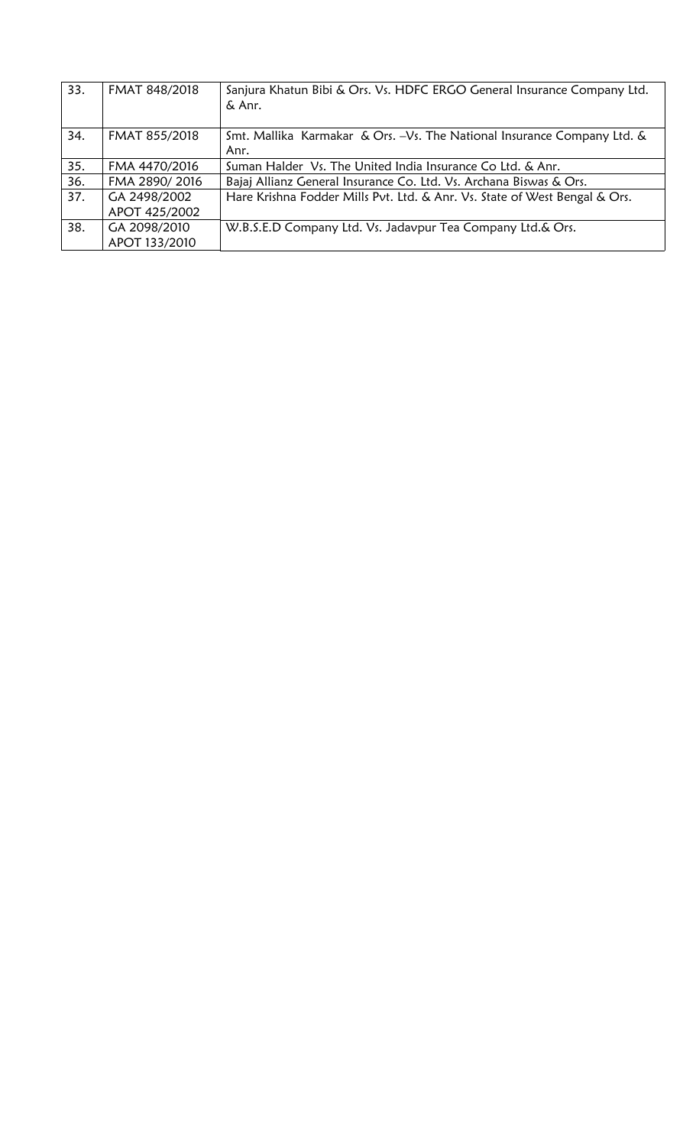| 33. | FMAT 848/2018                 | Sanjura Khatun Bibi & Ors. Vs. HDFC ERGO General Insurance Company Ltd.<br>& Anr. |
|-----|-------------------------------|-----------------------------------------------------------------------------------|
| 34. | FMAT 855/2018                 | Smt. Mallika Karmakar & Ors. - Vs. The National Insurance Company Ltd. &<br>Anr.  |
| 35. | FMA 4470/2016                 | Suman Halder Vs. The United India Insurance Co Ltd. & Anr.                        |
| 36. | FMA 2890/2016                 | Bajaj Allianz General Insurance Co. Ltd. Vs. Archana Biswas & Ors.                |
| 37. | GA 2498/2002<br>APOT 425/2002 | Hare Krishna Fodder Mills Pvt. Ltd. & Anr. Vs. State of West Bengal & Ors.        |
| 38. | GA 2098/2010<br>APOT 133/2010 | W.B.S.E.D Company Ltd. Vs. Jadavpur Tea Company Ltd.& Ors.                        |